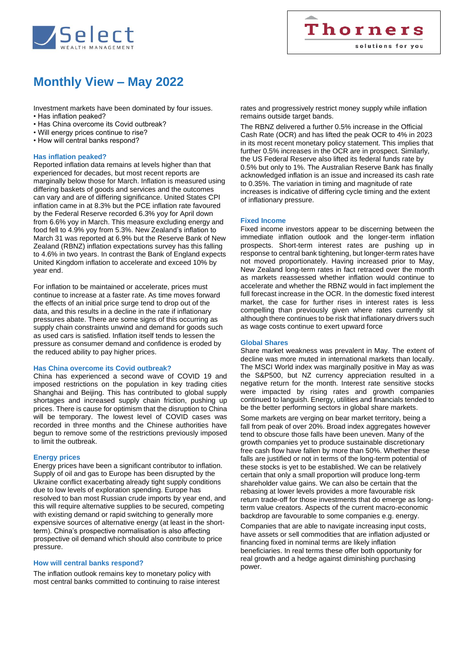

# **Monthly View – May 2022**

Investment markets have been dominated by four issues.

- Has inflation peaked?
- Has China overcome its Covid outbreak?
- Will energy prices continue to rise?
- How will central banks respond?

# **Has inflation peaked?**

Reported inflation data remains at levels higher than that experienced for decades, but most recent reports are marginally below those for March. Inflation is measured using differing baskets of goods and services and the outcomes can vary and are of differing significance. United States CPI inflation came in at 8.3% but the PCE inflation rate favoured by the Federal Reserve recorded 6.3% yoy for April down from 6.6% yoy in March. This measure excluding energy and food fell to 4.9% yoy from 5.3%. New Zealand's inflation to March 31 was reported at 6.9% but the Reserve Bank of New Zealand (RBNZ) inflation expectations survey has this falling to 4.6% in two years. In contrast the Bank of England expects United Kingdom inflation to accelerate and exceed 10% by year end.

For inflation to be maintained or accelerate, prices must continue to increase at a faster rate. As time moves forward the effects of an initial price surge tend to drop out of the data, and this results in a decline in the rate if inflationary pressures abate. There are some signs of this occurring as supply chain constraints unwind and demand for goods such as used cars is satisfied. Inflation itself tends to lessen the pressure as consumer demand and confidence is eroded by the reduced ability to pay higher prices.

## **Has China overcome its Covid outbreak?**

China has experienced a second wave of COVID 19 and imposed restrictions on the population in key trading cities Shanghai and Beijing. This has contributed to global supply shortages and increased supply chain friction, pushing up prices. There is cause for optimism that the disruption to China will be temporary. The lowest level of COVID cases was recorded in three months and the Chinese authorities have begun to remove some of the restrictions previously imposed to limit the outbreak.

## **Energy prices**

Energy prices have been a significant contributor to inflation. Supply of oil and gas to Europe has been disrupted by the Ukraine conflict exacerbating already tight supply conditions due to low levels of exploration spending. Europe has resolved to ban most Russian crude imports by year end, and this will require alternative supplies to be secured, competing with existing demand or rapid switching to generally more expensive sources of alternative energy (at least in the shortterm). China's prospective normalisation is also affecting prospective oil demand which should also contribute to price pressure.

## **How will central banks respond?**

The inflation outlook remains key to monetary policy with most central banks committed to continuing to raise interest rates and progressively restrict money supply while inflation remains outside target bands.

The RBNZ delivered a further 0.5% increase in the Official Cash Rate (OCR) and has lifted the peak OCR to 4% in 2023 in its most recent monetary policy statement. This implies that further 0.5% increases in the OCR are in prospect. Similarly, the US Federal Reserve also lifted its federal funds rate by 0.5% but only to 1%. The Australian Reserve Bank has finally acknowledged inflation is an issue and increased its cash rate to 0.35%. The variation in timing and magnitude of rate increases is indicative of differing cycle timing and the extent of inflationary pressure.

# **Fixed Income**

Fixed income investors appear to be discerning between the immediate inflation outlook and the longer-term inflation prospects. Short-term interest rates are pushing up in response to central bank tightening, but longer-term rates have not moved proportionately. Having increased prior to May, New Zealand long-term rates in fact retraced over the month as markets reassessed whether inflation would continue to accelerate and whether the RBNZ would in fact implement the full forecast increase in the OCR. In the domestic fixed interest market, the case for further rises in interest rates is less compelling than previously given where rates currently sit although there continues to be risk that inflationary drivers such as wage costs continue to exert upward force

## **Global Shares**

Share market weakness was prevalent in May. The extent of decline was more muted in international markets than locally. The MSCI World index was marginally positive in May as was the S&P500, but NZ currency appreciation resulted in a negative return for the month. Interest rate sensitive stocks were impacted by rising rates and growth companies continued to languish. Energy, utilities and financials tended to be the better performing sectors in global share markets.

Some markets are verging on bear market territory, being a fall from peak of over 20%. Broad index aggregates however tend to obscure those falls have been uneven. Many of the growth companies yet to produce sustainable discretionary free cash flow have fallen by more than 50%. Whether these falls are justified or not in terms of the long-term potential of these stocks is yet to be established. We can be relatively certain that only a small proportion will produce long-term shareholder value gains. We can also be certain that the rebasing at lower levels provides a more favourable risk return trade-off for those investments that do emerge as longterm value creators. Aspects of the current macro-economic backdrop are favourable to some companies e.g. energy.

Companies that are able to navigate increasing input costs, have assets or sell commodities that are inflation adjusted or financing fixed in nominal terms are likely inflation beneficiaries. In real terms these offer both opportunity for real growth and a hedge against diminishing purchasing power.